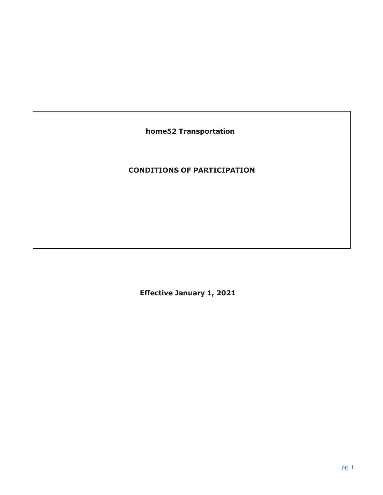**home52 Transportation**

# **CONDITIONS OF PARTICIPATION**

**Effective January 1, 2021**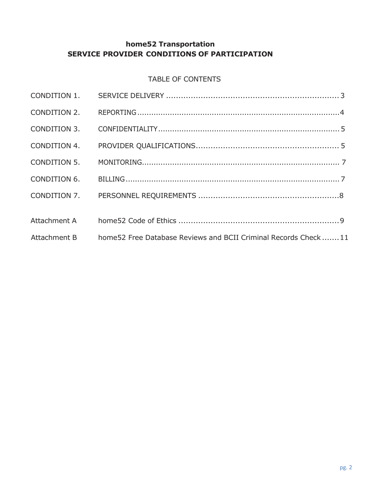# **home52 Transportation SERVICE PROVIDER CONDITIONS OF PARTICIPATION**

### TABLE OF CONTENTS

| Attachment B home 52 Free Database Reviews and BCII Criminal Records Check 11 |  |
|-------------------------------------------------------------------------------|--|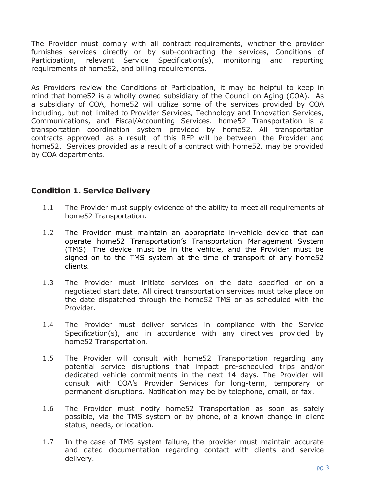The Provider must comply with all contract requirements, whether the provider furnishes services directly or by sub-contracting the services, Conditions of Participation, relevant Service Specification(s), monitoring and reporting requirements of home52, and billing requirements.

As Providers review the Conditions of Participation, it may be helpful to keep in mind that home52 is a wholly owned subsidiary of the Council on Aging (COA). As a subsidiary of COA, home52 will utilize some of the services provided by COA including, but not limited to Provider Services, Technology and Innovation Services, Communications, and Fiscal/Accounting Services. home52 Transportation is a transportation coordination system provided by home52. All transportation contracts approved as a result of this RFP will be between the Provider and home52. Services provided as a result of a contract with home52, may be provided by COA departments.

#### <span id="page-2-0"></span>**Condition 1. Service Delivery**

- 1.1 The Provider must supply evidence of the ability to meet all requirements of home52 Transportation.
- 1.2 The Provider must maintain an appropriate in-vehicle device that can operate home52 Transportation's Transportation Management System (TMS). The device must be in the vehicle, and the Provider must be signed on to the TMS system at the time of transport of any home52 clients.
- 1.3 The Provider must initiate services on the date specified or on a negotiated start date. All direct transportation services must take place on the date dispatched through the home52 TMS or as scheduled with the Provider.
- 1.4 The Provider must deliver services in compliance with the Service Specification(s), and in accordance with any directives provided by home52 Transportation.
- 1.5 The Provider will consult with home52 Transportation regarding any potential service disruptions that impact pre-scheduled trips and/or dedicated vehicle commitments in the next 14 days. The Provider will consult with COA's Provider Services for long-term, temporary or permanent disruptions. Notification may be by telephone, email, or fax.
- 1.6 The Provider must notify home52 Transportation as soon as safely possible, via the TMS system or by phone, of a known change in client status, needs, or location.
- 1.7 In the case of TMS system failure, the provider must maintain accurate and dated documentation regarding contact with clients and service delivery.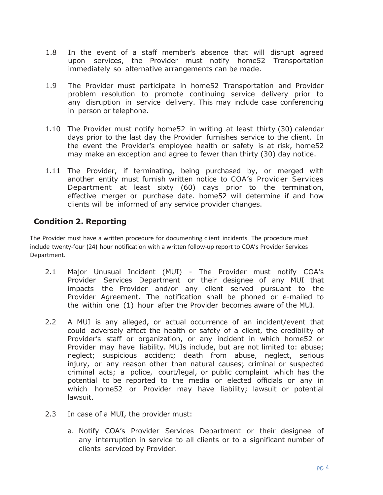- 1.8 In the event of a staff member's absence that will disrupt agreed upon services, the Provider must notify home52 Transportation immediately so alternative arrangements can be made.
- 1.9 The Provider must participate in home52 Transportation and Provider problem resolution to promote continuing service delivery prior to any disruption in service delivery. This may include case conferencing in person or telephone.
- 1.10 The Provider must notify home52 in writing at least thirty (30) calendar days prior to the last day the Provider furnishes service to the client. In the event the Provider's employee health or safety is at risk, home52 may make an exception and agree to fewer than thirty (30) day notice.
- 1.11 The Provider, if terminating, being purchased by, or merged with another entity must furnish written notice to COA's Provider Services Department at least sixty (60) days prior to the termination, effective merger or purchase date. home52 will determine if and how clients will be informed of any service provider changes.

## <span id="page-3-0"></span>**Condition 2. Reporting**

The Provider must have a written procedure for documenting client incidents. The procedure must include twenty-four (24) hour notification with a written follow-up report to COA's Provider Services Department.

- 2.1 Major Unusual Incident (MUI) The Provider must notify COA's Provider Services Department or their designee of any MUI that impacts the Provider and/or any client served pursuant to the Provider Agreement. The notification shall be phoned or e-mailed to the within one (1) hour after the Provider becomes aware of the MUI.
- 2.2 A MUI is any alleged, or actual occurrence of an incident/event that could adversely affect the health or safety of a client, the credibility of Provider's staff or organization, or any incident in which home52 or Provider may have liability. MUIs include, but are not limited to: abuse; neglect; suspicious accident; death from abuse, neglect, serious injury, or any reason other than natural causes; criminal or suspected criminal acts; a police, court/legal, or public complaint which has the potential to be reported to the media or elected officials or any in which home52 or Provider may have liability; lawsuit or potential lawsuit.
- 2.3 In case of a MUI, the provider must:
	- a. Notify COA's Provider Services Department or their designee of any interruption in service to all clients or to a significant number of clients serviced by Provider.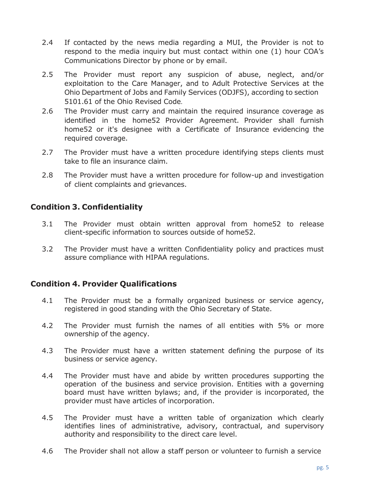- 2.4 If contacted by the news media regarding a MUI, the Provider is not to respond to the media inquiry but must contact within one (1) hour COA's Communications Director by phone or by email.
- 2.5 The Provider must report any suspicion of abuse, neglect, and/or exploitation to the Care Manager, and to Adult Protective Services at the Ohio Department of Jobs and Family Services (ODJFS), according to section 5101.61 of the Ohio Revised Code.
- 2.6 The Provider must carry and maintain the required insurance coverage as identified in the home52 Provider Agreement. Provider shall furnish home52 or it's designee with a Certificate of Insurance evidencing the required coverage.
- 2.7 The Provider must have a written procedure identifying steps clients must take to file an insurance claim.
- 2.8 The Provider must have a written procedure for follow-up and investigation of client complaints and grievances.

## <span id="page-4-0"></span>**Condition 3. Confidentiality**

- 3.1 The Provider must obtain written approval from home52 to release client-specific information to sources outside of home52.
- 3.2 The Provider must have a written Confidentiality policy and practices must assure compliance with HIPAA regulations.

## <span id="page-4-1"></span>**Condition 4. Provider Qualifications**

- 4.1 The Provider must be a formally organized business or service agency, registered in good standing with the Ohio Secretary of State.
- 4.2 The Provider must furnish the names of all entities with 5% or more ownership of the agency.
- 4.3 The Provider must have a written statement defining the purpose of its business or service agency.
- 4.4 The Provider must have and abide by written procedures supporting the operation of the business and service provision. Entities with a governing board must have written bylaws; and, if the provider is incorporated, the provider must have articles of incorporation.
- 4.5 The Provider must have a written table of organization which clearly identifies lines of administrative, advisory, contractual, and supervisory authority and responsibility to the direct care level.
- 4.6 The Provider shall not allow a staff person or volunteer to furnish a service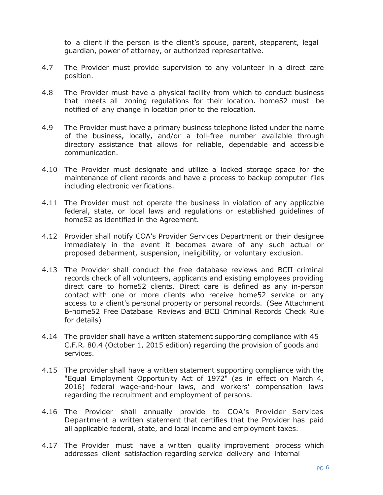to a client if the person is the client's spouse, parent, stepparent, legal guardian, power of attorney, or authorized representative.

- 4.7 The Provider must provide supervision to any volunteer in a direct care position.
- 4.8 The Provider must have a physical facility from which to conduct business that meets all zoning regulations for their location. home52 must be notified of any change in location prior to the relocation.
- 4.9 The Provider must have a primary business telephone listed under the name of the business, locally, and/or a toll-free number available through directory assistance that allows for reliable, dependable and accessible communication.
- 4.10 The Provider must designate and utilize a locked storage space for the maintenance of client records and have a process to backup computer files including electronic verifications.
- 4.11 The Provider must not operate the business in violation of any applicable federal, state, or local laws and regulations or established guidelines of home52 as identified in the Agreement.
- 4.12 Provider shall notify COA's Provider Services Department or their designee immediately in the event it becomes aware of any such actual or proposed debarment, suspension, ineligibility, or voluntary exclusion.
- 4.13 The Provider shall conduct the free database reviews and BCII criminal records check of all volunteers, applicants and existing employees providing direct care to home52 clients. Direct care is defined as any in-person contact with one or more clients who receive home52 service or any access to a client's personal property or personal records. (See Attachment B-home52 Free Database Reviews and BCII Criminal Records Check Rule for details)
- 4.14 The provider shall have a written statement supporting compliance with 45 C.F.R. 80.4 (October 1, 2015 edition) regarding the provision of goods and services.
- 4.15 The provider shall have a written statement supporting compliance with the "Equal Employment Opportunity Act of 1972" (as in effect on March 4, 2016) federal wage-and-hour laws, and workers' compensation laws regarding the recruitment and employment of persons.
- 4.16 The Provider shall annually provide to COA's Provider Services Department a written statement that certifies that the Provider has paid all applicable federal, state, and local income and employment taxes.
- 4.17 The Provider must have a written quality improvement process which addresses client satisfaction regarding service delivery and internal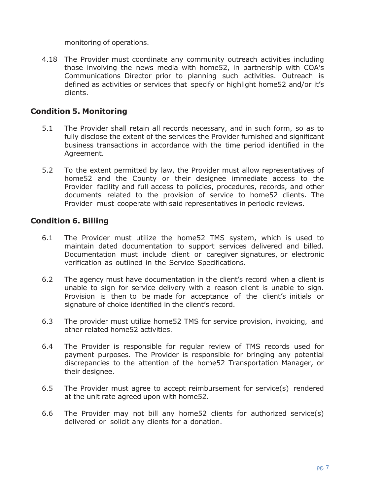monitoring of operations.

4.18 The Provider must coordinate any community outreach activities including those involving the news media with home52, in partnership with COA's Communications Director prior to planning such activities. Outreach is defined as activities or services that specify or highlight home52 and/or it's clients.

### <span id="page-6-0"></span>**Condition 5. Monitoring**

- 5.1 The Provider shall retain all records necessary, and in such form, so as to fully disclose the extent of the services the Provider furnished and significant business transactions in accordance with the time period identified in the Agreement.
- 5.2 To the extent permitted by law, the Provider must allow representatives of home52 and the County or their designee immediate access to the Provider facility and full access to policies, procedures, records, and other documents related to the provision of service to home52 clients. The Provider must cooperate with said representatives in periodic reviews.

## <span id="page-6-1"></span>**Condition 6. Billing**

- 6.1 The Provider must utilize the home52 TMS system, which is used to maintain dated documentation to support services delivered and billed. Documentation must include client or caregiver signatures, or electronic verification as outlined in the Service Specifications.
- 6.2 The agency must have documentation in the client's record when a client is unable to sign for service delivery with a reason client is unable to sign. Provision is then to be made for acceptance of the client's initials or signature of choice identified in the client's record.
- 6.3 The provider must utilize home52 TMS for service provision, invoicing, and other related home52 activities.
- 6.4 The Provider is responsible for regular review of TMS records used for payment purposes. The Provider is responsible for bringing any potential discrepancies to the attention of the home52 Transportation Manager, or their designee.
- 6.5 The Provider must agree to accept reimbursement for service(s) rendered at the unit rate agreed upon with home52.
- 6.6 The Provider may not bill any home52 clients for authorized service(s) delivered or solicit any clients for a donation.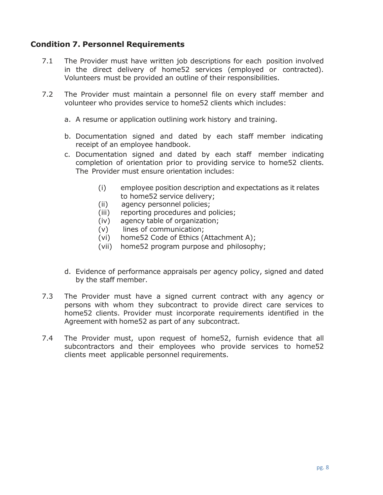## <span id="page-7-0"></span>**Condition 7. Personnel Requirements**

- 7.1 The Provider must have written job descriptions for each position involved in the direct delivery of home52 services (employed or contracted). Volunteers must be provided an outline of their responsibilities.
- 7.2 The Provider must maintain a personnel file on every staff member and volunteer who provides service to home52 clients which includes:
	- a. A resume or application outlining work history and training.
	- b. Documentation signed and dated by each staff member indicating receipt of an employee handbook.
	- c. Documentation signed and dated by each staff member indicating completion of orientation prior to providing service to home52 clients. The Provider must ensure orientation includes:
		- (i) employee position description and expectations as it relates to home52 service delivery;
		- (ii) agency personnel policies;
		- (iii) reporting procedures and policies;
		- (iv) agency table of organization;
		- (v) lines of communication;
		- (vi) home52 Code of Ethics (Attachment A);
		- (vii) home52 program purpose and philosophy;
	- d. Evidence of performance appraisals per agency policy, signed and dated by the staff member.
- 7.3 The Provider must have a signed current contract with any agency or persons with whom they subcontract to provide direct care services to home52 clients. Provider must incorporate requirements identified in the Agreement with home52 as part of any subcontract.
- 7.4 The Provider must, upon request of home52, furnish evidence that all subcontractors and their employees who provide services to home52 clients meet applicable personnel requirements.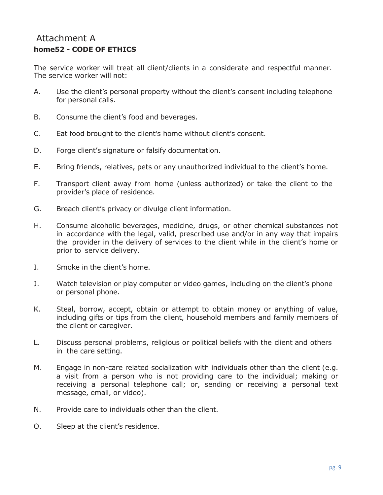# Attachment A **home52 - CODE OF ETHICS**

The service worker will treat all client/clients in a considerate and respectful manner. The service worker will not:

- A. Use the client's personal property without the client's consent including telephone for personal calls.
- B. Consume the client's food and beverages.
- C. Eat food brought to the client's home without client's consent.
- D. Forge client's signature or falsify documentation.
- E. Bring friends, relatives, pets or any unauthorized individual to the client's home.
- F. Transport client away from home (unless authorized) or take the client to the provider's place of residence.
- G. Breach client's privacy or divulge client information.
- H. Consume alcoholic beverages, medicine, drugs, or other chemical substances not in accordance with the legal, valid, prescribed use and/or in any way that impairs the provider in the delivery of services to the client while in the client's home or prior to service delivery.
- I. Smoke in the client's home.
- J. Watch television or play computer or video games, including on the client's phone or personal phone.
- K. Steal, borrow, accept, obtain or attempt to obtain money or anything of value, including gifts or tips from the client, household members and family members of the client or caregiver.
- L. Discuss personal problems, religious or political beliefs with the client and others in the care setting.
- M. Engage in non-care related socialization with individuals other than the client (e.g. a visit from a person who is not providing care to the individual; making or receiving a personal telephone call; or, sending or receiving a personal text message, email, or video).
- N. Provide care to individuals other than the client.
- O. Sleep at the client's residence.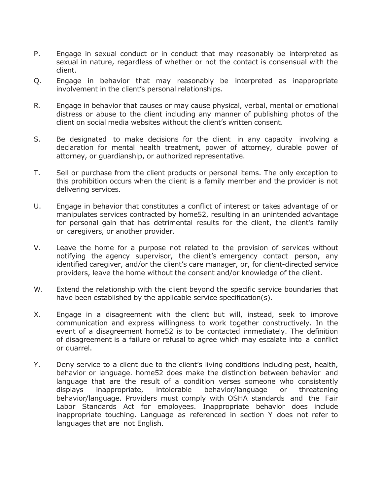- P. Engage in sexual conduct or in conduct that may reasonably be interpreted as sexual in nature, regardless of whether or not the contact is consensual with the client.
- Q. Engage in behavior that may reasonably be interpreted as inappropriate involvement in the client's personal relationships.
- R. Engage in behavior that causes or may cause physical, verbal, mental or emotional distress or abuse to the client including any manner of publishing photos of the client on social media websites without the client's written consent.
- S. Be designated to make decisions for the client in any capacity involving a declaration for mental health treatment, power of attorney, durable power of attorney, or guardianship, or authorized representative.
- T. Sell or purchase from the client products or personal items. The only exception to this prohibition occurs when the client is a family member and the provider is not delivering services.
- U. Engage in behavior that constitutes a conflict of interest or takes advantage of or manipulates services contracted by home52, resulting in an unintended advantage for personal gain that has detrimental results for the client, the client's family or caregivers, or another provider.
- V. Leave the home for a purpose not related to the provision of services without notifying the agency supervisor, the client's emergency contact person, any identified caregiver, and/or the client's care manager, or, for client-directed service providers, leave the home without the consent and/or knowledge of the client.
- W. Extend the relationship with the client beyond the specific service boundaries that have been established by the applicable service specification(s).
- X. Engage in a disagreement with the client but will, instead, seek to improve communication and express willingness to work together constructively. In the event of a disagreement home52 is to be contacted immediately. The definition of disagreement is a failure or refusal to agree which may escalate into a conflict or quarrel.
- Y. Deny service to a client due to the client's living conditions including pest, health, behavior or language. home52 does make the distinction between behavior and language that are the result of a condition verses someone who consistently displays inappropriate, intolerable behavior/language or threatening behavior/language. Providers must comply with OSHA standards and the Fair Labor Standards Act for employees. Inappropriate behavior does include inappropriate touching. Language as referenced in section Y does not refer to languages that are not English.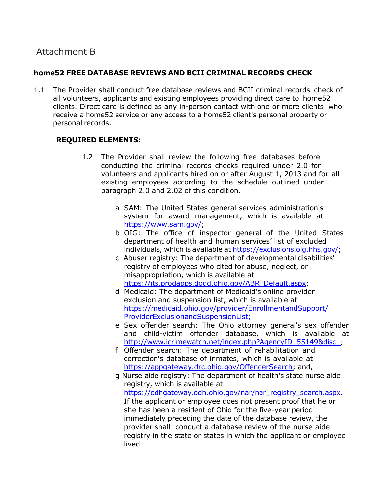# Attachment B

#### **home52 FREE DATABASE REVIEWS AND BCII CRIMINAL RECORDS CHECK**

1.1 The Provider shall conduct free database reviews and BCII criminal records check of all volunteers, applicants and existing employees providing direct care to home52 clients. Direct care is defined as any in-person contact with one or more clients who receive a home52 service or any access to a home52 client's personal property or personal records.

#### **REQUIRED ELEMENTS:**

- 1.2 The Provider shall review the following free databases before conducting the criminal records checks required under 2.0 for volunteers and applicants hired on or after August 1, 2013 and for all existing employees according to the schedule outlined under paragraph 2.0 and 2.02 of this condition.
	- a SAM: The United States general services administration's system for award management, which is available at [https://www.sam.gov/;](https://www.sam.gov/)
	- b OIG: The office of inspector general of the United States department of health and human services' list of excluded individuals, which is available at [https://exclusions.oig.hhs.gov/;](https://exclusions.oig.hhs.gov/)
	- c Abuser registry: The department of developmental disabilities' registry of employees who cited for abuse, neglect, or misappropriation, which is available at [https://its.prodapps.dodd.ohio.gov/ABR\\_Default.aspx;](https://its.prodapps.dodd.ohio.gov/ABR_Default.aspx)
	- d Medicaid: The department of Medicaid's online provider exclusion and suspension list, which is available at [https://medicaid.ohio.gov/provider/EnrollmentandSupport/](https://medicaid.ohio.gov/provider/EnrollmentandSupport/ProviderExclusionandSuspensionList) [Provid](https://medicaid.ohio.gov/provider/EnrollmentandSupport/ProviderExclusionandSuspensionList)erExclusionandSuspensionList;
	- e Sex offender search: The Ohio attorney general's sex offender and child-victim offender database, which is available at [http://www.icrimewatch.net/index.php?AgencyID](http://www.icrimewatch.net/index.php?AgencyID=55149&amp%3Bamp%3Bdisc)=55149&disc=;
	- f Offender search: The department of rehabilitation and correction's database of inmates, which is available at [https://appgateway.drc.ohio.gov/OffenderSearch;](https://appgateway.drc.ohio.gov/OffenderSearch) and,
	- g Nurse aide registry: The department of health's state nurse aide registry, which is available at [https://odhgateway.odh.ohio.gov/nar/nar\\_registry\\_search.aspx.](https://odhgateway.odh.ohio.gov/nar/nar_registry_search.aspx) If the applicant or employee does not present proof that he or she has been a resident of Ohio for the five-year period immediately preceding the date of the database review, the provider shall conduct a database review of the nurse aide registry in the state or states in which the applicant or employee lived.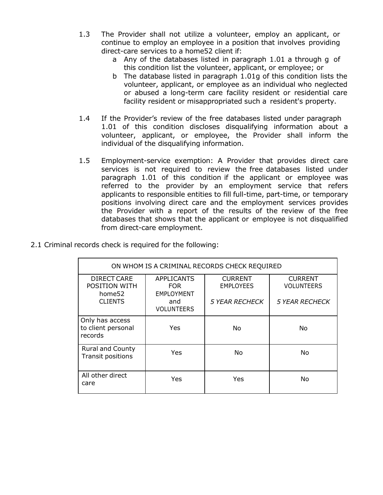- 1.3 The Provider shall not utilize a volunteer, employ an applicant, or continue to employ an employee in a position that involves providing direct-care services to a home52 client if:
	- a Any of the databases listed in paragraph 1.01 a through g of this condition list the volunteer, applicant, or employee; or
	- b The database listed in paragraph 1.01g of this condition lists the volunteer, applicant, or employee as an individual who neglected or abused a long-term care facility resident or residential care facility resident or misappropriated such a resident's property.
- 1.4 If the Provider's review of the free databases listed under paragraph 1.01 of this condition discloses disqualifying information about a volunteer, applicant, or employee, the Provider shall inform the individual of the disqualifying information.
- 1.5 Employment-service exemption: A Provider that provides direct care services is not required to review the free databases listed under paragraph 1.01 of this condition if the applicant or employee was referred to the provider by an employment service that refers applicants to responsible entities to fill full-time, part-time, or temporary positions involving direct care and the employment services provides the Provider with a report of the results of the review of the free databases that shows that the applicant or employee is not disqualified from direct-care employment.

| ON WHOM IS A CRIMINAL RECORDS CHECK REQUIRED       |                                                      |                                    |                                     |  |  |
|----------------------------------------------------|------------------------------------------------------|------------------------------------|-------------------------------------|--|--|
| DIRECT CARE<br>POSITION WITH<br>home <sub>52</sub> | <b>APPLICANTS</b><br><b>FOR</b><br><b>EMPLOYMENT</b> | <b>CURRENT</b><br><b>EMPLOYEES</b> | <b>CURRENT</b><br><b>VOLUNTEERS</b> |  |  |
| <b>CLIENTS</b>                                     | and<br><b>VOLUNTEERS</b>                             | <b>5 YEAR RECHECK</b>              | <b>5 YEAR RECHECK</b>               |  |  |
| Only has access<br>to client personal<br>records   | Yes                                                  | No.                                | No.                                 |  |  |
| <b>Rural and County</b><br>Transit positions       | Yes                                                  | No.                                | <b>No</b>                           |  |  |
| All other direct<br>care                           | Yes                                                  | Yes                                | No                                  |  |  |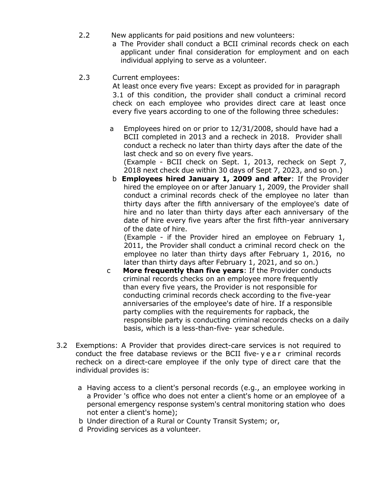- 2.2 New applicants for paid positions and new volunteers:
	- a The Provider shall conduct a BCII criminal records check on each applicant under final consideration for employment and on each individual applying to serve as a volunteer.
- 2.3 Current employees:

At least once every five years: Except as provided for in paragraph 3.1 of this condition, the provider shall conduct a criminal record check on each employee who provides direct care at least once every five years according to one of the following three schedules:

a Employees hired on or prior to 12/31/2008, should have had a BCII completed in 2013 and a recheck in 2018. Provider shall conduct a recheck no later than thirty days after the date of the last check and so on every five years. (Example - BCII check on Sept. 1, 2013, recheck on Sept 7,

2018 next check due within 30 days of Sept 7, 2023, and so on.) b **Employees hired January 1, 2009 and after**: If the Provider hired the employee on or after January 1, 2009, the Provider shall conduct a criminal records check of the employee no later than thirty days after the fifth anniversary of the employee's date of hire and no later than thirty days after each anniversary of the date of hire every five years after the first fifth-year anniversary of the date of hire.

(Example - if the Provider hired an employee on February 1, 2011, the Provider shall conduct a criminal record check on the employee no later than thirty days after February 1, 2016, no later than thirty days after February 1, 2021, and so on.)

- c **More frequently than five years**: If the Provider conducts criminal records checks on an employee more frequently than every five years, the Provider is not responsible for conducting criminal records check according to the five-year anniversaries of the employee's date of hire. If a responsible party complies with the requirements for rapback, the responsible party is conducting criminal records checks on a daily basis, which is a less-than-five- year schedule.
- 3.2 Exemptions: A Provider that provides direct-care services is not required to conduct the free database reviews or the BCII five-year criminal records recheck on a direct-care employee if the only type of direct care that the individual provides is:
	- a Having access to a client's personal records (e.g., an employee working in a Provider 's office who does not enter a client's home or an employee of a personal emergency response system's central monitoring station who does not enter a client's home);
	- b Under direction of a Rural or County Transit System; or,
	- d Providing services as a volunteer.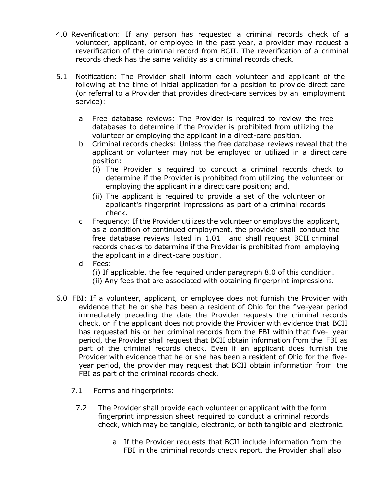- 4.0 Reverification: If any person has requested a criminal records check of a volunteer, applicant, or employee in the past year, a provider may request a reverification of the criminal record from BCII. The reverification of a criminal records check has the same validity as a criminal records check.
- 5.1 Notification: The Provider shall inform each volunteer and applicant of the following at the time of initial application for a position to provide direct care (or referral to a Provider that provides direct-care services by an employment service):
	- a Free database reviews: The Provider is required to review the free databases to determine if the Provider is prohibited from utilizing the volunteer or employing the applicant in a direct-care position.
	- b Criminal records checks: Unless the free database reviews reveal that the applicant or volunteer may not be employed or utilized in a direct care position:
		- (i) The Provider is required to conduct a criminal records check to determine if the Provider is prohibited from utilizing the volunteer or employing the applicant in a direct care position; and,
		- (ii) The applicant is required to provide a set of the volunteer or applicant's fingerprint impressions as part of a criminal records check.
	- c Frequency: If the Provider utilizes the volunteer or employs the applicant, as a condition of continued employment, the provider shall conduct the free database reviews listed in 1.01 and shall request BCII criminal records checks to determine if the Provider is prohibited from employing the applicant in a direct-care position.
	- d Fees:
		- (i) If applicable, the fee required under paragraph 8.0 of this condition.
		- (ii) Any fees that are associated with obtaining fingerprint impressions.
- 6.0 FBI: If a volunteer, applicant, or employee does not furnish the Provider with evidence that he or she has been a resident of Ohio for the five-year period immediately preceding the date the Provider requests the criminal records check, or if the applicant does not provide the Provider with evidence that BCII has requested his or her criminal records from the FBI within that five- year period, the Provider shall request that BCII obtain information from the FBI as part of the criminal records check. Even if an applicant does furnish the Provider with evidence that he or she has been a resident of Ohio for the fiveyear period, the provider may request that BCII obtain information from the FBI as part of the criminal records check.
	- 7.1 Forms and fingerprints:
		- 7.2 The Provider shall provide each volunteer or applicant with the form fingerprint impression sheet required to conduct a criminal records check, which may be tangible, electronic, or both tangible and electronic.
			- a If the Provider requests that BCII include information from the FBI in the criminal records check report, the Provider shall also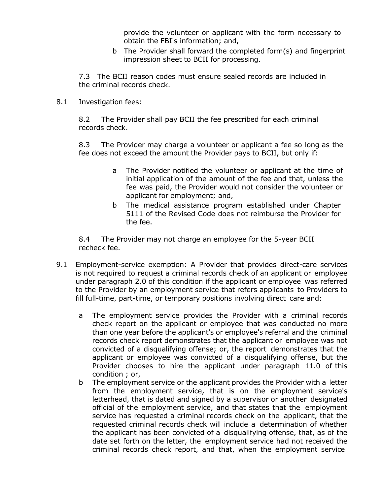provide the volunteer or applicant with the form necessary to obtain the FBI's information; and,

b The Provider shall forward the completed form(s) and fingerprint impression sheet to BCII for processing.

7.3 The BCII reason codes must ensure sealed records are included in the criminal records check.

8.1 Investigation fees:

8.2 The Provider shall pay BCII the fee prescribed for each criminal records check.

8.3 The Provider may charge a volunteer or applicant a fee so long as the fee does not exceed the amount the Provider pays to BCII, but only if:

- a The Provider notified the volunteer or applicant at the time of initial application of the amount of the fee and that, unless the fee was paid, the Provider would not consider the volunteer or applicant for employment; and,
- b The medical assistance program established under Chapter 5111 of the Revised Code does not reimburse the Provider for the fee.

8.4 The Provider may not charge an employee for the 5-year BCII recheck fee.

- 9.1 Employment-service exemption: A Provider that provides direct-care services is not required to request a criminal records check of an applicant or employee under paragraph 2.0 of this condition if the applicant or employee was referred to the Provider by an employment service that refers applicants to Providers to fill full-time, part-time, or temporary positions involving direct care and:
	- a The employment service provides the Provider with a criminal records check report on the applicant or employee that was conducted no more than one year before the applicant's or employee's referral and the criminal records check report demonstrates that the applicant or employee was not convicted of a disqualifying offense; or, the report demonstrates that the applicant or employee was convicted of a disqualifying offense, but the Provider chooses to hire the applicant under paragraph 11.0 of this condition ; or,
	- b The employment service or the applicant provides the Provider with a letter from the employment service, that is on the employment service's letterhead, that is dated and signed by a supervisor or another designated official of the employment service, and that states that the employment service has requested a criminal records check on the applicant, that the requested criminal records check will include a determination of whether the applicant has been convicted of a disqualifying offense, that, as of the date set forth on the letter, the employment service had not received the criminal records check report, and that, when the employment service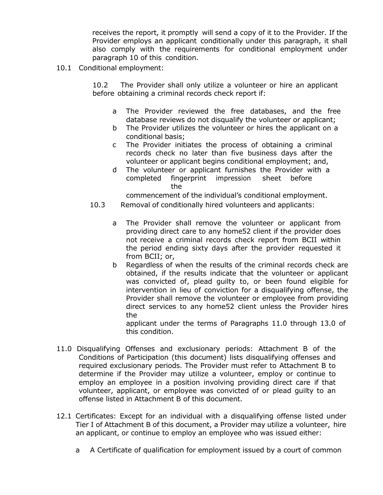receives the report, it promptly will send a copy of it to the Provider. If the Provider employs an applicant conditionally under this paragraph, it shall also comply with the requirements for conditional employment under paragraph 10 of this condition.

10.1 Conditional employment:

10.2 The Provider shall only utilize a volunteer or hire an applicant before obtaining a criminal records check report if:

- a The Provider reviewed the free databases, and the free database reviews do not disqualify the volunteer or applicant;
- b The Provider utilizes the volunteer or hires the applicant on a conditional basis;
- c The Provider initiates the process of obtaining a criminal records check no later than five business days after the volunteer or applicant begins conditional employment; and,
- d The volunteer or applicant furnishes the Provider with a completed fingerprint impression sheet before the

commencement of the individual's conditional employment.

- 10.3 Removal of conditionally hired volunteers and applicants:
	- a The Provider shall remove the volunteer or applicant from providing direct care to any home52 client if the provider does not receive a criminal records check report from BCII within the period ending sixty days after the provider requested it from BCII; or,
	- b Regardless of when the results of the criminal records check are obtained, if the results indicate that the volunteer or applicant was convicted of, plead guilty to, or been found eligible for intervention in lieu of conviction for a disqualifying offense, the Provider shall remove the volunteer or employee from providing direct services to any home52 client unless the Provider hires the

applicant under the terms of Paragraphs 11.0 through 13.0 of this condition.

- 11.0 Disqualifying Offenses and exclusionary periods: Attachment B of the Conditions of Participation (this document) lists disqualifying offenses and required exclusionary periods. The Provider must refer to Attachment B to determine if the Provider may utilize a volunteer, employ or continue to employ an employee in a position involving providing direct care if that volunteer, applicant, or employee was convicted of or plead guilty to an offense listed in Attachment B of this document.
- 12.1 Certificates: Except for an individual with a disqualifying offense listed under Tier I of Attachment B of this document, a Provider may utilize a volunteer, hire an applicant, or continue to employ an employee who was issued either:
	- a A Certificate of qualification for employment issued by a court of common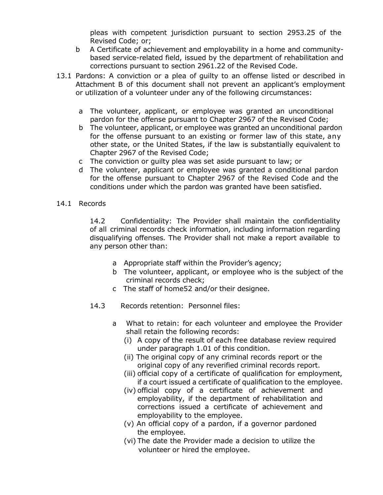pleas with competent jurisdiction pursuant to section 2953.25 of the Revised Code; or;

- b A Certificate of achievement and employability in a home and communitybased service-related field, issued by the department of rehabilitation and corrections pursuant to section 2961.22 of the Revised Code.
- 13.1 Pardons: A conviction or a plea of guilty to an offense listed or described in Attachment B of this document shall not prevent an applicant's employment or utilization of a volunteer under any of the following circumstances:
	- a The volunteer, applicant, or employee was granted an unconditional pardon for the offense pursuant to Chapter 2967 of the Revised Code;
	- b The volunteer, applicant, or employee was granted an unconditional pardon for the offense pursuant to an existing or former law of this state, any other state, or the United States, if the law is substantially equivalent to Chapter 2967 of the Revised Code;
	- c The conviction or guilty plea was set aside pursuant to law; or
	- d The volunteer, applicant or employee was granted a conditional pardon for the offense pursuant to Chapter 2967 of the Revised Code and the conditions under which the pardon was granted have been satisfied.
- 14.1 Records

14.2 Confidentiality: The Provider shall maintain the confidentiality of all criminal records check information, including information regarding disqualifying offenses*.* The Provider shall not make a report available to any person other than:

- a Appropriate staff within the Provider's agency;
- b The volunteer, applicant, or employee who is the subject of the criminal records check;
- c The staff of home52 and/or their designee.
- 14.3 Records retention: Personnel files:
	- a What to retain: for each volunteer and employee the Provider shall retain the following records:
		- (i) A copy of the result of each free database review required under paragraph 1.01 of this condition.
		- (ii) The original copy of any criminal records report or the original copy of any reverified criminal records report.
		- (iii) official copy of a certificate of qualification for employment, if a court issued a certificate of qualification to the employee.
		- (iv) official copy of a certificate of achievement and employability, if the department of rehabilitation and corrections issued a certificate of achievement and employability to the employee.
		- (v) An official copy of a pardon, if a governor pardoned the employee.
		- (vi) The date the Provider made a decision to utilize the volunteer or hired the employee.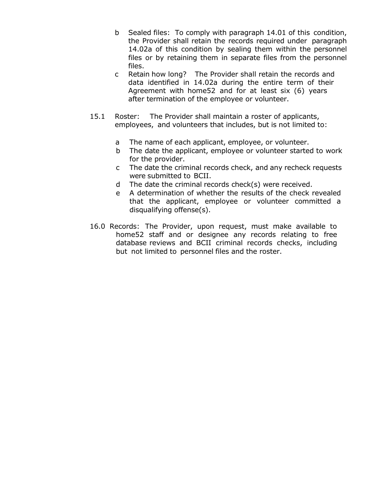- b Sealed files: To comply with paragraph 14.01 of this condition, the Provider shall retain the records required under paragraph 14.02a of this condition by sealing them within the personnel files or by retaining them in separate files from the personnel files.
- c Retain how long? The Provider shall retain the records and data identified in 14.02a during the entire term of their Agreement with home52 and for at least six (6) years after termination of the employee or volunteer.
- 15.1 Roster: The Provider shall maintain a roster of applicants, employees, and volunteers that includes, but is not limited to:
	- a The name of each applicant, employee, or volunteer.
	- b The date the applicant, employee or volunteer started to work for the provider.
	- c The date the criminal records check, and any recheck requests were submitted to BCII.
	- d The date the criminal records check(s) were received.
	- e A determination of whether the results of the check revealed that the applicant, employee or volunteer committed a disqualifying offense(s).
- 16.0 Records: The Provider, upon request, must make available to home52 staff and or designee any records relating to free database reviews and BCII criminal records checks, including but not limited to personnel files and the roster.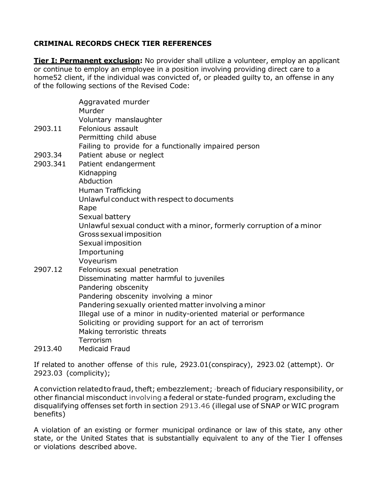#### **CRIMINAL RECORDS CHECK TIER REFERENCES**

**Tier I: Permanent exclusion:** No provider shall utilize a volunteer, employ an applicant or continue to employ an employee in a position involving providing direct care to a home52 client, if the individual was convicted of, or pleaded guilty to, an offense in any of the following sections of the Revised Code:

|          | Aggravated murder<br>Murder                                          |
|----------|----------------------------------------------------------------------|
|          | Voluntary manslaughter                                               |
| 2903.11  | Felonious assault                                                    |
|          | Permitting child abuse                                               |
|          | Failing to provide for a functionally impaired person                |
| 2903.34  | Patient abuse or neglect                                             |
| 2903.341 | Patient endangerment                                                 |
|          | Kidnapping<br>Abduction                                              |
|          |                                                                      |
|          | <b>Human Trafficking</b>                                             |
|          | Unlawful conduct with respect to documents                           |
|          | Rape                                                                 |
|          | Sexual battery                                                       |
|          | Unlawful sexual conduct with a minor, formerly corruption of a minor |
|          | Gross sexual imposition                                              |
|          | Sexual imposition                                                    |
|          | Importuning                                                          |
|          | Voyeurism                                                            |
| 2907.12  | Felonious sexual penetration                                         |
|          | Disseminating matter harmful to juveniles                            |
|          | Pandering obscenity                                                  |
|          | Pandering obscenity involving a minor                                |
|          | Pandering sexually oriented matter involving a minor                 |
|          | Illegal use of a minor in nudity-oriented material or performance    |
|          | Soliciting or providing support for an act of terrorism              |
|          | Making terroristic threats                                           |
|          | Terrorism                                                            |
| 2913.40  | <b>Medicaid Fraud</b>                                                |

If related to another offense of this rule, 2923.01(conspiracy), 2923.02 (attempt). Or 2923.03 (complicity);

A conviction related to fraud, theft; embezzlement; · breach of fiduciary responsibility, or other financial misconduct involving a federal or state-funded program, excluding the disqualifying offenses set forth in section 2913.46 (illegal use of SNAP or WIC program benefits)

A violation of an existing or former municipal ordinance or law of this state, any other state, or the United States that is substantially equivalent to any of the Tier I offenses or violations described above.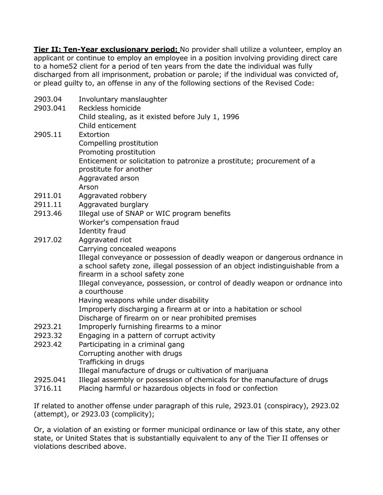**Tier II: Ten-Year exclusionary period:** No provider shall utilize a volunteer, employ an applicant or continue to employ an employee in a position involving providing direct care to a home52 client for a period of ten years from the date the individual was fully discharged from all imprisonment, probation or parole; if the individual was convicted of, or plead guilty to, an offense in any of the following sections of the Revised Code:

| 2903.04  | Involuntary manslaughter                                                       |
|----------|--------------------------------------------------------------------------------|
| 2903.041 | Reckless homicide                                                              |
|          | Child stealing, as it existed before July 1, 1996                              |
|          | Child enticement                                                               |
| 2905.11  | Extortion                                                                      |
|          | Compelling prostitution                                                        |
|          | Promoting prostitution                                                         |
|          | Enticement or solicitation to patronize a prostitute; procurement of a         |
|          | prostitute for another                                                         |
|          | Aggravated arson                                                               |
|          | Arson                                                                          |
| 2911.01  | Aggravated robbery                                                             |
| 2911.11  | Aggravated burglary                                                            |
| 2913.46  | Illegal use of SNAP or WIC program benefits                                    |
|          | Worker's compensation fraud                                                    |
|          | <b>Identity fraud</b>                                                          |
| 2917.02  | Aggravated riot                                                                |
|          | Carrying concealed weapons                                                     |
|          | Illegal conveyance or possession of deadly weapon or dangerous ordnance in     |
|          | a school safety zone, illegal possession of an object indistinguishable from a |
|          | firearm in a school safety zone                                                |
|          | Illegal conveyance, possession, or control of deadly weapon or ordnance into   |
|          | a courthouse                                                                   |
|          | Having weapons while under disability                                          |
|          | Improperly discharging a firearm at or into a habitation or school             |
|          | Discharge of firearm on or near prohibited premises                            |
| 2923.21  | Improperly furnishing firearms to a minor                                      |
| 2923.32  | Engaging in a pattern of corrupt activity                                      |
| 2923.42  | Participating in a criminal gang                                               |
|          | Corrupting another with drugs                                                  |
|          | Trafficking in drugs                                                           |
|          | Illegal manufacture of drugs or cultivation of marijuana                       |
| 2925.041 | Illegal assembly or possession of chemicals for the manufacture of drugs       |
| 3716.11  | Placing harmful or hazardous objects in food or confection                     |

If related to another offense under paragraph of this rule, 2923.01 (conspiracy), 2923.02 (attempt), or 2923.03 (complicity);

Or, a violation of an existing or former municipal ordinance or law of this state, any other state, or United States that is substantially equivalent to any of the Tier II offenses or violations described above.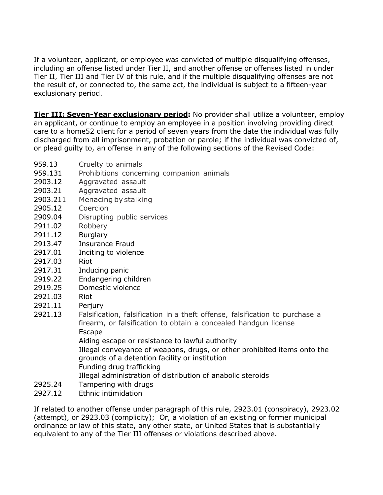If a volunteer, applicant, or employee was convicted of multiple disqualifying offenses, including an offense listed under Tier II, and another offense or offenses listed in under Tier II, Tier III and Tier IV of this rule, and if the multiple disqualifying offenses are not the result of, or connected to, the same act, the individual is subject to a fifteen-year exclusionary period.

**Tier III: Seven-Year exclusionary period:** No provider shall utilize a volunteer, employ an applicant, or continue to employ an employee in a position involving providing direct care to a home52 client for a period of seven years from the date the individual was fully discharged from all imprisonment, probation or parole; if the individual was convicted of, or plead guilty to, an offense in any of the following sections of the Revised Code:

- 959.13 Cruelty to animals
- 959.131 Prohibitions concerning companion animals
- 2903.12 Aggravated assault
- 2903.21 Aggravated assault
- 2903.211 Menacing by stalking
- 2905.12 Coercion
- 2909.04 Disrupting public services
- 2911.02 Robbery
- 2911.12 Burglary
- 2913.47 Insurance Fraud
- 2917.01 Inciting to violence
- 2917.03 Riot
- 2917.31 Inducing panic
- 2919.22 Endangering children
- 2919.25 Domestic violence
- 2921.03 Riot
- 2921.11 Perjury
- 2921.13 Falsification, falsification in a theft offense, falsification to purchase a firearm, or falsification to obtain a concealed handgun license **Escape**

Aiding escape or resistance to lawful authority

Illegal conveyance of weapons, drugs, or other prohibited items onto the grounds of a detention facility or institution

- Funding drug trafficking
	- Illegal administration of distribution of anabolic steroids
- 2925.24 Tampering with drugs
- 2927.12 Ethnic intimidation

If related to another offense under paragraph of this rule, 2923.01 (conspiracy), 2923.02 (attempt), or 2923.03 (complicity); Or, a violation of an existing or former municipal ordinance or law of this state, any other state, or United States that is substantially equivalent to any of the Tier III offenses or violations described above.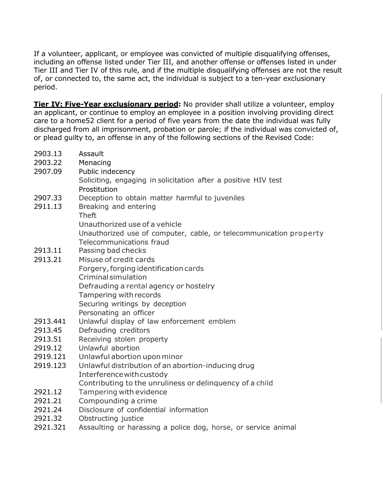If a volunteer, applicant, or employee was convicted of multiple disqualifying offenses, including an offense listed under Tier III, and another offense or offenses listed in under Tier III and Tier IV of this rule, and if the multiple disqualifying offenses are not the result of, or connected to, the same act, the individual is subject to a ten-year exclusionary period.

**Tier IV: Five-Year exclusionary period:** No provider shall utilize a volunteer, employ an applicant, or continue to employ an employee in a position involving providing direct care to a home52 client for a period of five years from the date the individual was fully discharged from all imprisonment, probation or parole; if the individual was convicted of, or plead guilty to, an offense in any of the following sections of the Revised Code:

2903.13 Assault 2903.22 Menacing 2907.09 Public indecency Soliciting, engaging in solicitation after a positive HIV test Prostitution 2907.33 Deception to obtain matter harmful to juveniles 2911.13 Breaking and entering Theft Unauthorized use of a vehicle Unauthorized use of computer, cable, or telecommunication property Telecommunications fraud 2913.11 Passing bad checks 2913.21 Misuse of credit cards Forgery, forging identification cards Criminalsimulation Defrauding a rental agency or hostelry Tampering withrecords Securing writings by deception Personating an officer 2913.441 Unlawful display of law enforcement emblem 2913.45 Defrauding creditors 2913.51 Receiving stolen property 2919.12 Unlawful abortion 2919.121 Unlawful abortion uponminor 2919.123 Unlawful distribution of an abortion-inducing drug Interferencewithcustody Contributing to the unruliness or delinquency of a child 2921.12 Tampering with evidence 2921.21 Compounding a crime 2921.24 Disclosure of confidential information 2921.32 Obstructing justice 2921.321 Assaulting or harassing a police dog, horse, or service animal